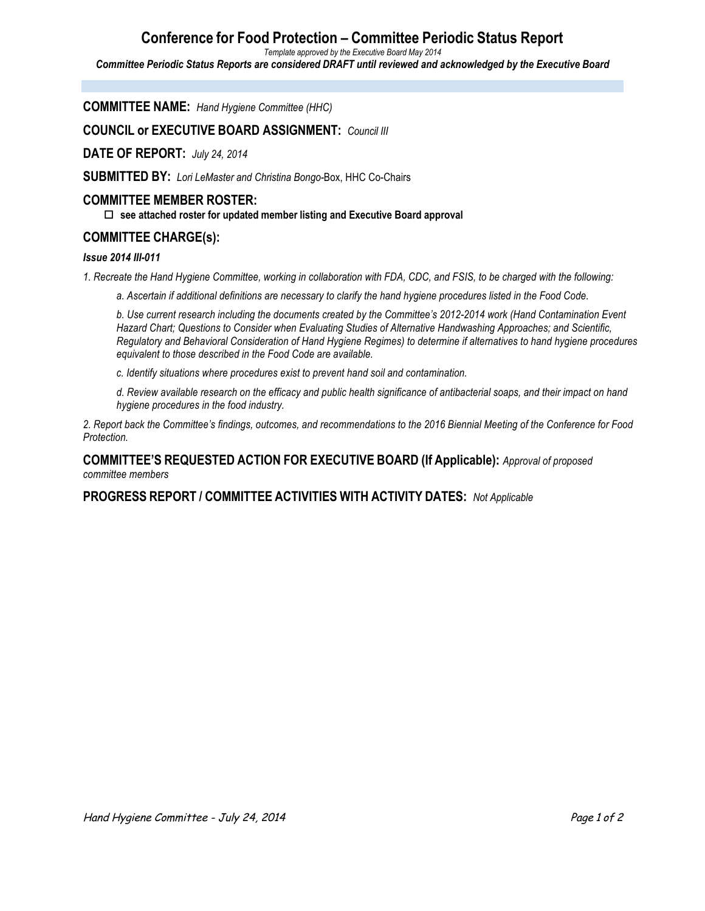## **Conference for Food Protection – Committee Periodic Status Report**

*Template approved by the Executive Board May 2014*

*Committee Periodic Status Reports are considered DRAFT until reviewed and acknowledged by the Executive Board*

**COMMITTEE NAME:** *Hand Hygiene Committee (HHC)*

**COUNCIL or EXECUTIVE BOARD ASSIGNMENT:** *Council III*

**DATE OF REPORT:** *July 24, 2014*

**SUBMITTED BY:** *Lori LeMaster and Christina Bongo-*Box, HHC Co-Chairs

#### **COMMITTEE MEMBER ROSTER:**

o **see attached roster for updated member listing and Executive Board approval**

### **COMMITTEE CHARGE(s):**

#### *Issue 2014 III-011*

*1. Recreate the Hand Hygiene Committee, working in collaboration with FDA, CDC, and FSIS, to be charged with the following:* 

*a. Ascertain if additional definitions are necessary to clarify the hand hygiene procedures listed in the Food Code.* 

*b. Use current research including the documents created by the Committee's 2012-2014 work (Hand Contamination Event Hazard Chart; Questions to Consider when Evaluating Studies of Alternative Handwashing Approaches; and Scientific, Regulatory and Behavioral Consideration of Hand Hygiene Regimes) to determine if alternatives to hand hygiene procedures equivalent to those described in the Food Code are available.* 

*c. Identify situations where procedures exist to prevent hand soil and contamination.* 

*d. Review available research on the efficacy and public health significance of antibacterial soaps, and their impact on hand hygiene procedures in the food industry.* 

*2. Report back the Committee's findings, outcomes, and recommendations to the 2016 Biennial Meeting of the Conference for Food Protection.*

**COMMITTEE'S REQUESTED ACTION FOR EXECUTIVE BOARD (If Applicable):** *Approval of proposed committee members*

**PROGRESS REPORT / COMMITTEE ACTIVITIES WITH ACTIVITY DATES:** *Not Applicable*